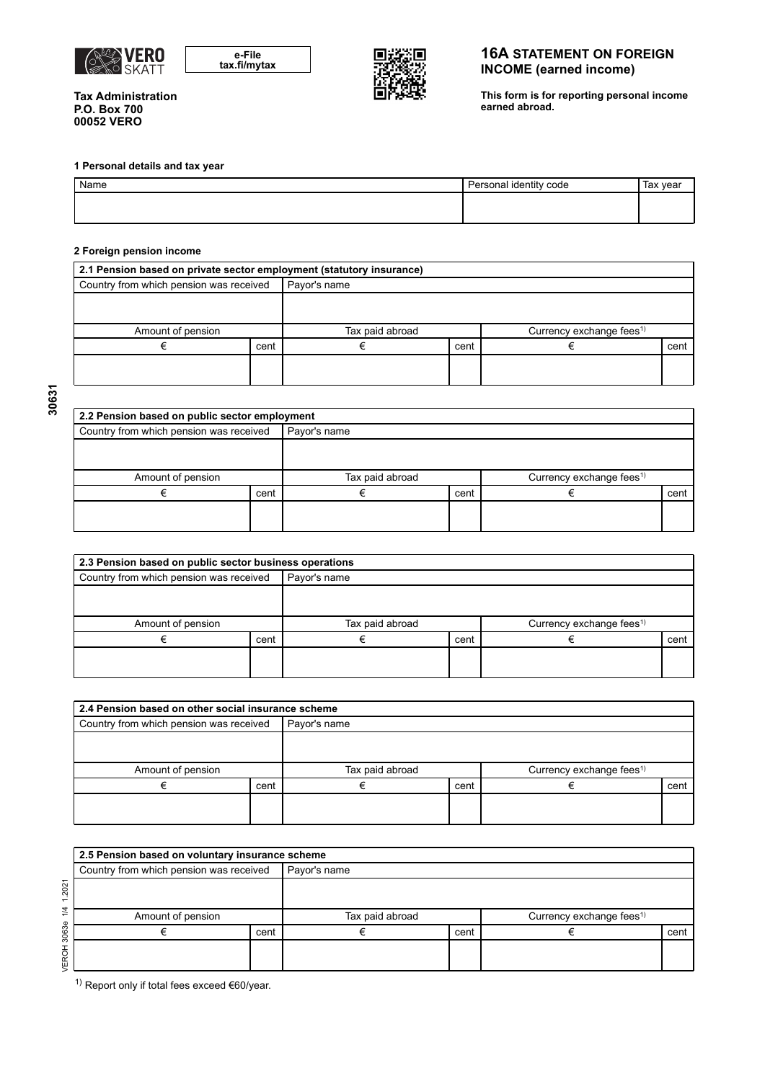

| e-File       |  |
|--------------|--|
| tax.fi/mytax |  |



## **16A STATEMENT ON FOREIGN INCOME (earned income)**

**This form is for reporting personal income earned abroad.** 

**Tax Administration P.O. Box 700 00052 VERO** 

### **1 Personal details and tax year**

| Name | Personal identity code | Tax year |
|------|------------------------|----------|
|      |                        |          |
|      |                        |          |

#### **2 Foreign pension income**

| 2.1 Pension based on private sector employment (statutory insurance) |      |                 |      |                                      |      |  |  |  |
|----------------------------------------------------------------------|------|-----------------|------|--------------------------------------|------|--|--|--|
| Country from which pension was received                              |      | Payor's name    |      |                                      |      |  |  |  |
|                                                                      |      |                 |      |                                      |      |  |  |  |
|                                                                      |      |                 |      |                                      |      |  |  |  |
| Amount of pension                                                    |      | Tax paid abroad |      | Currency exchange fees <sup>1)</sup> |      |  |  |  |
|                                                                      | cent |                 | cent |                                      | cent |  |  |  |
|                                                                      |      |                 |      |                                      |      |  |  |  |
|                                                                      |      |                 |      |                                      |      |  |  |  |

| 2.2 Pension based on public sector employment |      |                 |      |                                      |      |  |  |  |  |
|-----------------------------------------------|------|-----------------|------|--------------------------------------|------|--|--|--|--|
| Country from which pension was received       |      | Payor's name    |      |                                      |      |  |  |  |  |
|                                               |      |                 |      |                                      |      |  |  |  |  |
| Amount of pension                             |      | Tax paid abroad |      | Currency exchange fees <sup>1)</sup> |      |  |  |  |  |
|                                               | cent |                 | cent |                                      | cent |  |  |  |  |
|                                               |      |                 |      |                                      |      |  |  |  |  |

| 2.3 Pension based on public sector business operations |      |                 |      |                                      |      |  |  |  |  |
|--------------------------------------------------------|------|-----------------|------|--------------------------------------|------|--|--|--|--|
| Country from which pension was received                |      | Payor's name    |      |                                      |      |  |  |  |  |
|                                                        |      |                 |      |                                      |      |  |  |  |  |
|                                                        |      |                 |      |                                      |      |  |  |  |  |
| Amount of pension                                      |      | Tax paid abroad |      | Currency exchange fees <sup>1)</sup> |      |  |  |  |  |
|                                                        | cent |                 | cent |                                      | cent |  |  |  |  |
|                                                        |      |                 |      |                                      |      |  |  |  |  |
|                                                        |      |                 |      |                                      |      |  |  |  |  |

| 2.4 Pension based on other social insurance scheme |      |                 |      |                                      |      |  |  |  |
|----------------------------------------------------|------|-----------------|------|--------------------------------------|------|--|--|--|
| Country from which pension was received            |      | Payor's name    |      |                                      |      |  |  |  |
|                                                    |      |                 |      |                                      |      |  |  |  |
|                                                    |      |                 |      |                                      |      |  |  |  |
| Amount of pension                                  |      | Tax paid abroad |      | Currency exchange fees <sup>1)</sup> |      |  |  |  |
|                                                    | cent |                 | cent |                                      | cent |  |  |  |
|                                                    |      |                 |      |                                      |      |  |  |  |
|                                                    |      |                 |      |                                      |      |  |  |  |

| 2.5 Pension based on voluntary insurance scheme |      |                 |      |                                      |      |  |  |  |  |
|-------------------------------------------------|------|-----------------|------|--------------------------------------|------|--|--|--|--|
| Country from which pension was received         |      | Payor's name    |      |                                      |      |  |  |  |  |
|                                                 |      |                 |      |                                      |      |  |  |  |  |
| Amount of pension                               |      | Tax paid abroad |      | Currency exchange fees <sup>1)</sup> |      |  |  |  |  |
|                                                 | cent |                 | cent |                                      | cent |  |  |  |  |
|                                                 |      |                 |      |                                      |      |  |  |  |  |

1) Report only if total fees exceed  $€60$ /year.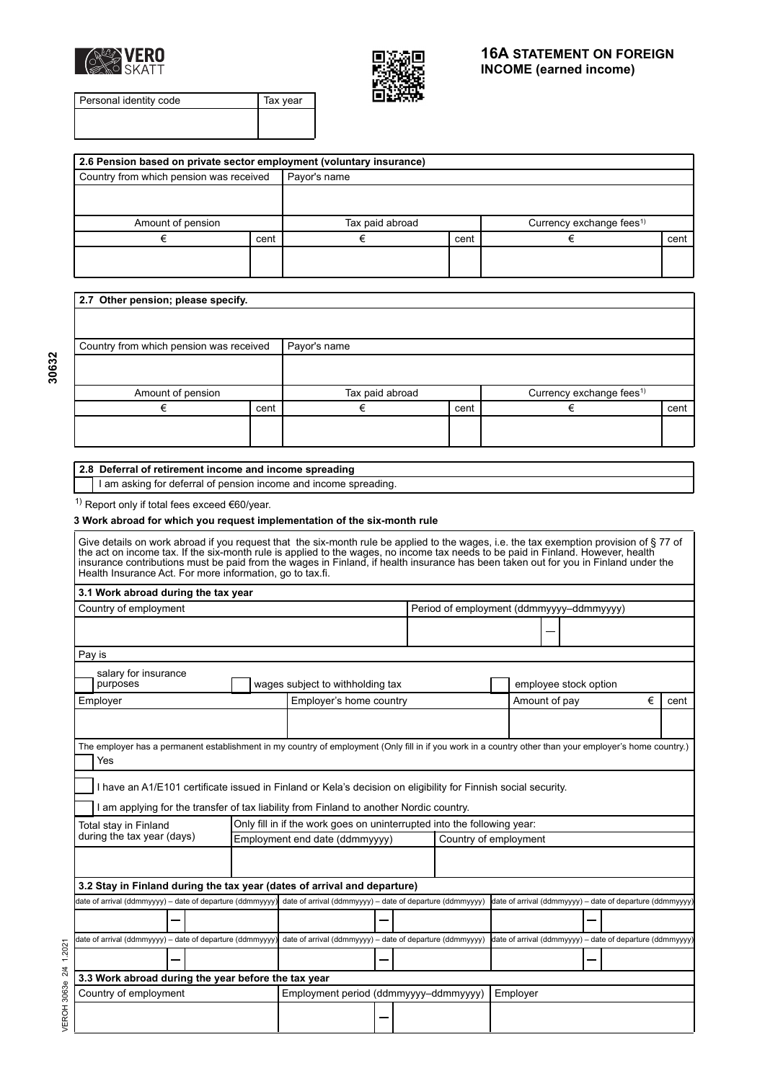



Personal identity code Tax year

| 2.6 Pension based on private sector employment (voluntary insurance) |      |                 |      |                                      |      |  |  |  |  |
|----------------------------------------------------------------------|------|-----------------|------|--------------------------------------|------|--|--|--|--|
| Country from which pension was received                              |      | Payor's name    |      |                                      |      |  |  |  |  |
|                                                                      |      |                 |      |                                      |      |  |  |  |  |
|                                                                      |      |                 |      |                                      |      |  |  |  |  |
| Amount of pension                                                    |      | Tax paid abroad |      | Currency exchange fees <sup>1)</sup> |      |  |  |  |  |
|                                                                      | cent |                 | cent |                                      | cent |  |  |  |  |
|                                                                      |      |                 |      |                                      |      |  |  |  |  |
|                                                                      |      |                 |      |                                      |      |  |  |  |  |
|                                                                      |      |                 |      |                                      |      |  |  |  |  |

|      | Currency exchange fees <sup>1)</sup> |      |  |
|------|--------------------------------------|------|--|
| cent | €                                    | cent |  |
|      |                                      |      |  |
|      |                                      |      |  |
|      | Tax paid abroad                      |      |  |

# **2.8 Deferral of retirement income and income spreading**

I am asking for deferral of pension income and income spreading.

 $1)$  Report only if total fees exceed €60/year.

### **3 Work abroad for which you request implementation of the six-month rule**

| Give details on work abroad if you request that the six-month rule be applied to the wages, i.e. the tax exemption provision of §77 of<br>the act on income tax. If the six-month rule is applied to the wages, no income tax needs to be paid in Finland. However, health<br>insurance contributions must be paid from the wages in Finland, if health insurance has been taken out for you in Finland under the<br>Health Insurance Act. For more information, go to tax.fi. |  |                                |                                                                         |  |  |                       |          |                                                          |  |   |      |
|--------------------------------------------------------------------------------------------------------------------------------------------------------------------------------------------------------------------------------------------------------------------------------------------------------------------------------------------------------------------------------------------------------------------------------------------------------------------------------|--|--------------------------------|-------------------------------------------------------------------------|--|--|-----------------------|----------|----------------------------------------------------------|--|---|------|
| 3.1 Work abroad during the tax year                                                                                                                                                                                                                                                                                                                                                                                                                                            |  |                                |                                                                         |  |  |                       |          |                                                          |  |   |      |
| Country of employment                                                                                                                                                                                                                                                                                                                                                                                                                                                          |  |                                |                                                                         |  |  |                       |          | Period of employment (ddmmyyyy-ddmmyyyy)                 |  |   |      |
|                                                                                                                                                                                                                                                                                                                                                                                                                                                                                |  |                                |                                                                         |  |  |                       |          |                                                          |  |   |      |
| Pay is                                                                                                                                                                                                                                                                                                                                                                                                                                                                         |  |                                |                                                                         |  |  |                       |          |                                                          |  |   |      |
| salary for insurance<br>purposes                                                                                                                                                                                                                                                                                                                                                                                                                                               |  |                                | wages subject to withholding tax                                        |  |  |                       |          | employee stock option                                    |  |   |      |
| Employer                                                                                                                                                                                                                                                                                                                                                                                                                                                                       |  |                                | Employer's home country                                                 |  |  |                       |          | Amount of pay                                            |  | € | cent |
|                                                                                                                                                                                                                                                                                                                                                                                                                                                                                |  |                                |                                                                         |  |  |                       |          |                                                          |  |   |      |
| The employer has a permanent establishment in my country of employment (Only fill in if you work in a country other than your employer's home country.)<br>Yes<br>I have an A1/E101 certificate issued in Finland or Kela's decision on eligibility for Finnish social security.                                                                                                                                                                                               |  |                                |                                                                         |  |  |                       |          |                                                          |  |   |      |
| I am applying for the transfer of tax liability from Finland to another Nordic country.                                                                                                                                                                                                                                                                                                                                                                                        |  |                                |                                                                         |  |  |                       |          |                                                          |  |   |      |
| Total stay in Finland<br>during the tax year (days)                                                                                                                                                                                                                                                                                                                                                                                                                            |  |                                | Only fill in if the work goes on uninterrupted into the following year: |  |  |                       |          |                                                          |  |   |      |
|                                                                                                                                                                                                                                                                                                                                                                                                                                                                                |  | Employment end date (ddmmyyyy) |                                                                         |  |  | Country of employment |          |                                                          |  |   |      |
|                                                                                                                                                                                                                                                                                                                                                                                                                                                                                |  |                                |                                                                         |  |  |                       |          |                                                          |  |   |      |
| 3.2 Stay in Finland during the tax year (dates of arrival and departure)                                                                                                                                                                                                                                                                                                                                                                                                       |  |                                |                                                                         |  |  |                       |          |                                                          |  |   |      |
| date of arrival (ddmmyyyy) - date of departure (ddmmyyyy)                                                                                                                                                                                                                                                                                                                                                                                                                      |  |                                | date of arrival (ddmmyyyy) - date of departure (ddmmyyyy)               |  |  |                       |          | date of arrival (ddmmyyyy) - date of departure (ddmmyyyy |  |   |      |
|                                                                                                                                                                                                                                                                                                                                                                                                                                                                                |  |                                |                                                                         |  |  |                       |          |                                                          |  |   |      |
| date of arrival (ddmmyyyy) - date of departure (ddmmyyyy                                                                                                                                                                                                                                                                                                                                                                                                                       |  |                                | date of arrival (ddmmyyyy) - date of departure (ddmmyyyy)               |  |  |                       |          | date of arrival (ddmmyyyy) - date of departure (ddmmyyyy |  |   |      |
|                                                                                                                                                                                                                                                                                                                                                                                                                                                                                |  |                                |                                                                         |  |  |                       |          |                                                          |  |   |      |
| 3.3 Work abroad during the year before the tax year                                                                                                                                                                                                                                                                                                                                                                                                                            |  |                                |                                                                         |  |  |                       |          |                                                          |  |   |      |
| Country of employment                                                                                                                                                                                                                                                                                                                                                                                                                                                          |  |                                | Employment period (ddmmyyyy-ddmmyyyy)                                   |  |  |                       | Employer |                                                          |  |   |      |
|                                                                                                                                                                                                                                                                                                                                                                                                                                                                                |  |                                |                                                                         |  |  |                       |          |                                                          |  |   |      |

VEROH 3063e 2/4 1.2021

VEROH 3063e 2/4 1.2021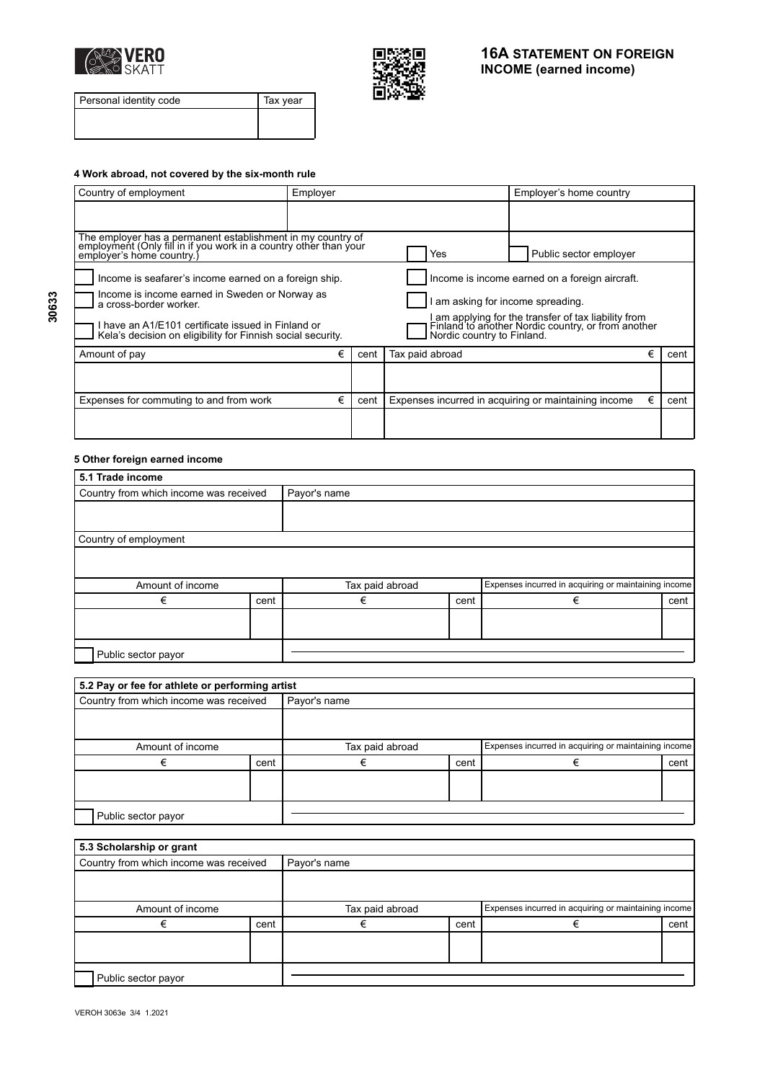



Personal identity code Tax year

### **4 Work abroad, not covered by the six-month rule**

| Country of employment                                                                                                                                                                 | Employer |      | Employer's home country                                                                                                                                                                                                       |   |      |  |  |
|---------------------------------------------------------------------------------------------------------------------------------------------------------------------------------------|----------|------|-------------------------------------------------------------------------------------------------------------------------------------------------------------------------------------------------------------------------------|---|------|--|--|
|                                                                                                                                                                                       |          |      |                                                                                                                                                                                                                               |   |      |  |  |
| The employer has a permanent establishment in my country of employment (Only fill in if you work in a country other than your<br>emplover's home country.)                            |          |      | Public sector employer<br>Yes                                                                                                                                                                                                 |   |      |  |  |
| Income is seafarer's income earned on a foreign ship.<br>Income is income earned in Sweden or Norway as<br>a cross-border worker.<br>have an A1/E101 certificate issued in Finland or |          |      | Income is income earned on a foreign aircraft.<br>am asking for income spreading.<br>I am applying for the transfer of tax liability from<br>Finland to another Nordic country, or from another<br>Nordic country to Finland. |   |      |  |  |
| Kela's decision on eligibility for Finnish social security.<br>Amount of pay                                                                                                          | €        | cent | Tax paid abroad                                                                                                                                                                                                               | € |      |  |  |
|                                                                                                                                                                                       |          |      |                                                                                                                                                                                                                               |   | cent |  |  |
| Expenses for commuting to and from work                                                                                                                                               | €        | cent | Expenses incurred in acquiring or maintaining income                                                                                                                                                                          | € | cent |  |  |
|                                                                                                                                                                                       |          |      |                                                                                                                                                                                                                               |   |      |  |  |

## **5 Other foreign earned income**

| 5.1 Trade income                       |      |                 |      |                                                      |      |  |
|----------------------------------------|------|-----------------|------|------------------------------------------------------|------|--|
| Country from which income was received |      | Payor's name    |      |                                                      |      |  |
|                                        |      |                 |      |                                                      |      |  |
|                                        |      |                 |      |                                                      |      |  |
| Country of employment                  |      |                 |      |                                                      |      |  |
|                                        |      |                 |      |                                                      |      |  |
|                                        |      |                 |      |                                                      |      |  |
| Amount of income                       |      | Tax paid abroad |      | Expenses incurred in acquiring or maintaining income |      |  |
| €                                      | cent | €               | cent | €                                                    | cent |  |
|                                        |      |                 |      |                                                      |      |  |
|                                        |      |                 |      |                                                      |      |  |
|                                        |      |                 |      |                                                      |      |  |
| Public sector payor                    |      |                 |      |                                                      |      |  |

| 5.2 Pay or fee for athlete or performing artist |      |                 |      |                                                      |      |  |  |
|-------------------------------------------------|------|-----------------|------|------------------------------------------------------|------|--|--|
| Country from which income was received          |      | Payor's name    |      |                                                      |      |  |  |
|                                                 |      |                 |      |                                                      |      |  |  |
|                                                 |      |                 |      |                                                      |      |  |  |
| Amount of income                                |      | Tax paid abroad |      | Expenses incurred in acquiring or maintaining income |      |  |  |
|                                                 | cent |                 | cent |                                                      | cent |  |  |
|                                                 |      |                 |      |                                                      |      |  |  |
|                                                 |      |                 |      |                                                      |      |  |  |
|                                                 |      |                 |      |                                                      |      |  |  |
| Public sector payor                             |      |                 |      |                                                      |      |  |  |

| 5.3 Scholarship or grant               |      |                 |      |                                                      |      |  |  |
|----------------------------------------|------|-----------------|------|------------------------------------------------------|------|--|--|
| Country from which income was received |      | Payor's name    |      |                                                      |      |  |  |
|                                        |      |                 |      |                                                      |      |  |  |
| Amount of income                       |      | Tax paid abroad |      | Expenses incurred in acquiring or maintaining income |      |  |  |
|                                        | cent |                 | cent | €                                                    | cent |  |  |
|                                        |      |                 |      |                                                      |      |  |  |
| Public sector payor                    |      |                 |      |                                                      |      |  |  |